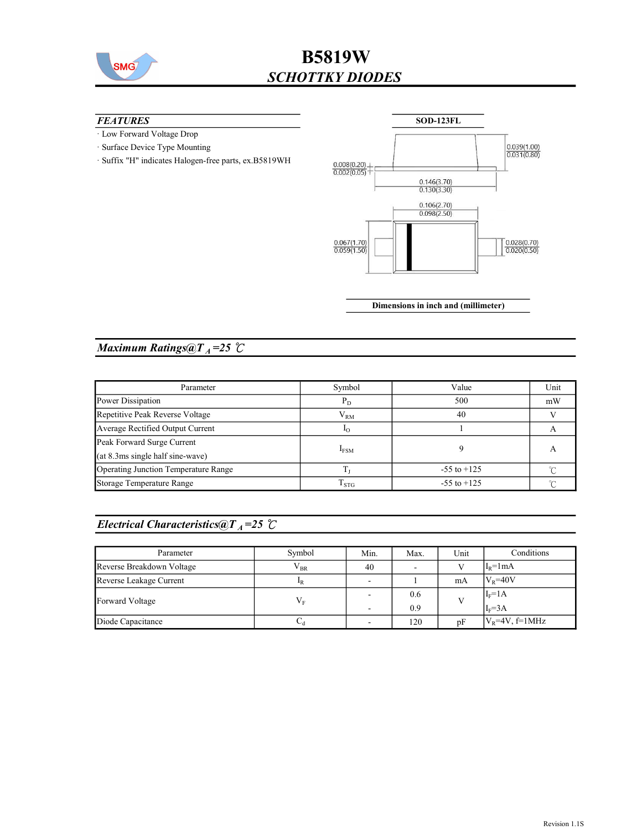

## B5819W SCHOTTKY DIODES

#### **FEATURES**

- · Low Forward Voltage Drop
- · Surface Device Type Mounting
- · Suffix "H" indicates Halogen-free parts, ex.B5819WH



Dimensions in inch and (millimeter)

### Maximum Ratings@ $T_A = 25$  °C

| Parameter                            | Symbol             | Value           | Unit |
|--------------------------------------|--------------------|-----------------|------|
| Power Dissipation                    | $P_D$              | 500             | mW   |
| Repetitive Peak Reverse Voltage      | ${\rm V}_{\rm RM}$ | 40              |      |
| Average Rectified Output Current     | $10^{-1}$          |                 |      |
| Peak Forward Surge Current           |                    |                 |      |
| $(at 8.3ms single half sine-wave)$   | $I_{FSM}$          |                 | А    |
| Operating Junction Temperature Range |                    | $-55$ to $+125$ |      |
| Storage Temperature Range            | $\mathrm{T_{STG}}$ | $-55$ to $+125$ |      |

### Electrical Characteristics@T<sub>A</sub>=25  $\mathcal{C}$

| Parameter                 | Symbol            | Min. | Max. | Unit | Conditions        |
|---------------------------|-------------------|------|------|------|-------------------|
| Reverse Breakdown Voltage | $\rm V_{BR}$      | 40   |      |      | $IR=1mA$          |
| Reverse Leakage Current   | 1 <sub>R</sub>    |      |      | mA   | $V_R = 40V$       |
| Forward Voltage           | $\rm V_F$         |      | 0.6  |      | $I_F = 1A$        |
|                           |                   | ٠    | 0.9  |      | $I_F = 3A$        |
| Diode Capacitance         | $\mathcal{L}_{d}$ | -    | 120  | pF   | $V_R$ =4V, f=1MHz |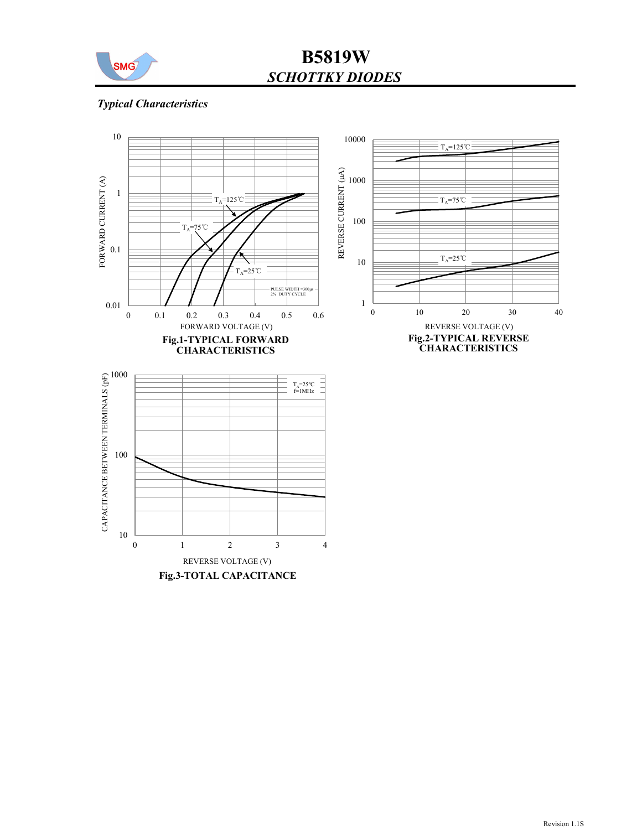

## B5819W SCHOTTKY DIODES

### Typical Characteristics

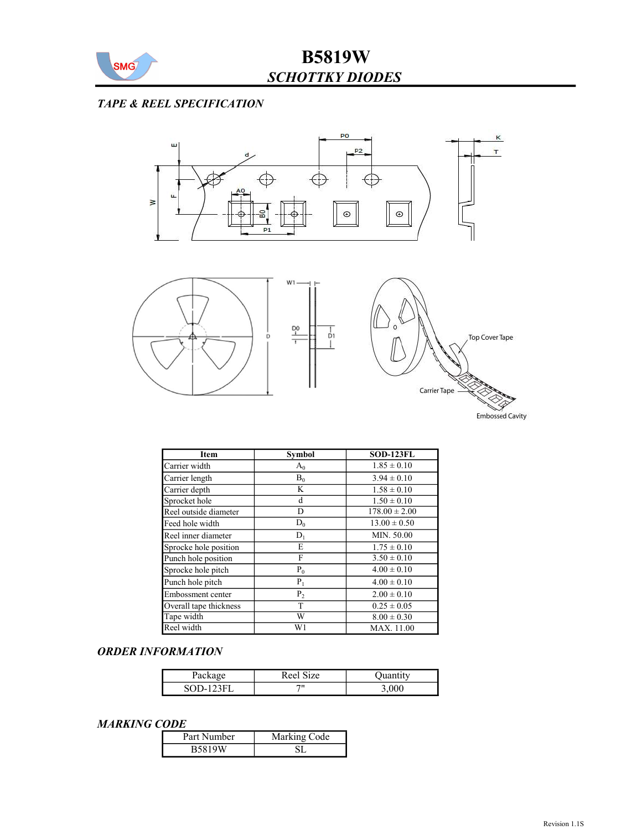

### TAPE & REEL SPECIFICATION



| Item                   | <b>Symbol</b>  | <b>SOD-123FL</b>  |
|------------------------|----------------|-------------------|
| Carrier width          | $A_0$          | $1.85 \pm 0.10$   |
| Carrier length         | $B_0$          | $3.94 \pm 0.10$   |
| Carrier depth          | K              | $1.58 \pm 0.10$   |
| Sprocket hole          | d              | $1.50 \pm 0.10$   |
| Reel outside diameter  | D              | $178.00 \pm 2.00$ |
| Feed hole width        | $D_0$          | $13.00 \pm 0.50$  |
| Reel inner diameter    | $D_1$          | MIN. 50.00        |
| Sprocke hole position  | E              | $1.75 \pm 0.10$   |
| Punch hole position    | F              | $3.50 \pm 0.10$   |
| Sprocke hole pitch     | $P_0$          | $4.00 \pm 0.10$   |
| Punch hole pitch       | $P_1$          | $4.00 \pm 0.10$   |
| Embossment center      | P <sub>2</sub> | $2.00 \pm 0.10$   |
| Overall tape thickness | T              | $0.25 \pm 0.05$   |
| Tape width             | W              | $8.00 \pm 0.30$   |
| Reel width             | W1             | MAX. 11.00        |

#### ORDER INFORMATION

| r denu <sub>m</sub> | $\sim$ 0.1.<br>Ree<br>$_{1Z}$ e |        |
|---------------------|---------------------------------|--------|
| 90 N X              | 70                              | -3,000 |

#### MARKING CODE

| .             |              |
|---------------|--------------|
| Part Number   | Marking Code |
| <b>B5819W</b> |              |